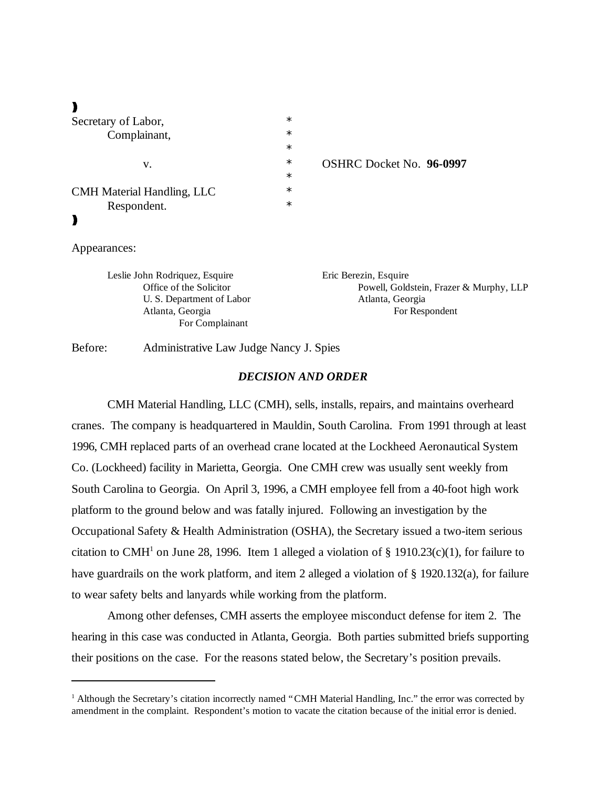$\blacktriangleright$ 

| Secretary of Labor,        | $\ast$ |                                 |
|----------------------------|--------|---------------------------------|
| Complainant,               | $\ast$ |                                 |
|                            | $\ast$ |                                 |
| v.                         | $\ast$ | <b>OSHRC Docket No. 96-0997</b> |
|                            | $\ast$ |                                 |
| CMH Material Handling, LLC | $\ast$ |                                 |
| Respondent.                | $\ast$ |                                 |
|                            |        |                                 |

#### Appearances:

Leslie John Rodriquez, Esquire Eric Berezin, Esquire U. S. Department of Labor Atlanta, Georgia For Complainant

Office of the Solicitor **Powell, Goldstein, Frazer & Murphy, LLP** Atlanta, Georgia **For Respondent** 

Before: Administrative Law Judge Nancy J. Spies

## *DECISION AND ORDER*

CMH Material Handling, LLC (CMH), sells, installs, repairs, and maintains overheard cranes. The company is headquartered in Mauldin, South Carolina. From 1991 through at least 1996, CMH replaced parts of an overhead crane located at the Lockheed Aeronautical System Co. (Lockheed) facility in Marietta, Georgia. One CMH crew was usually sent weekly from South Carolina to Georgia. On April 3, 1996, a CMH employee fell from a 40-foot high work platform to the ground below and was fatally injured. Following an investigation by the Occupational Safety & Health Administration (OSHA), the Secretary issued a two-item serious citation to CMH<sup>1</sup> on June 28, 1996. Item 1 alleged a violation of § 1910.23(c)(1), for failure to have guardrails on the work platform, and item 2 alleged a violation of § 1920.132(a), for failure to wear safety belts and lanyards while working from the platform.

Among other defenses, CMH asserts the employee misconduct defense for item 2. The hearing in this case was conducted in Atlanta, Georgia. Both parties submitted briefs supporting their positions on the case. For the reasons stated below, the Secretary's position prevails.

<sup>&</sup>lt;sup>1</sup> Although the Secretary's citation incorrectly named "CMH Material Handling, Inc." the error was corrected by amendment in the complaint. Respondent's motion to vacate the citation because of the initial error is denied.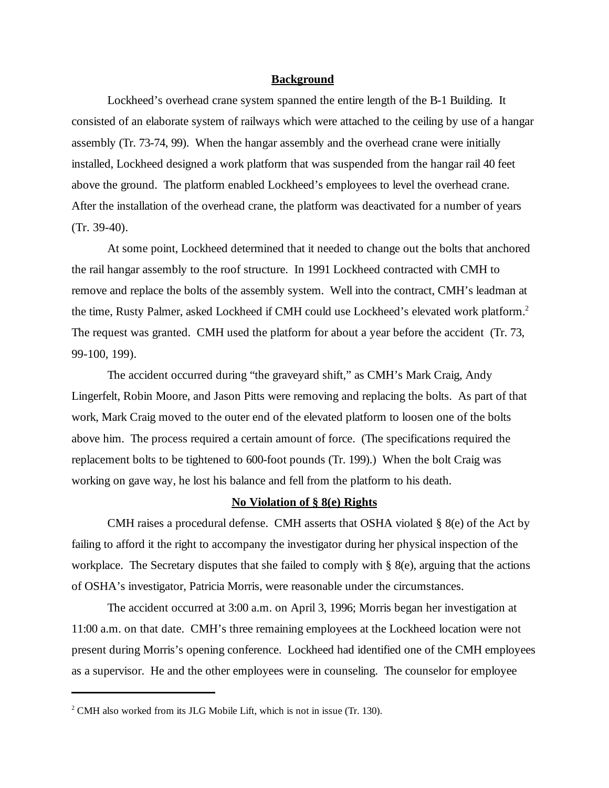#### **Background**

Lockheed's overhead crane system spanned the entire length of the B-1 Building. It consisted of an elaborate system of railways which were attached to the ceiling by use of a hangar assembly (Tr. 73-74, 99). When the hangar assembly and the overhead crane were initially installed, Lockheed designed a work platform that was suspended from the hangar rail 40 feet above the ground. The platform enabled Lockheed's employees to level the overhead crane. After the installation of the overhead crane, the platform was deactivated for a number of years (Tr. 39-40).

At some point, Lockheed determined that it needed to change out the bolts that anchored the rail hangar assembly to the roof structure. In 1991 Lockheed contracted with CMH to remove and replace the bolts of the assembly system. Well into the contract, CMH's leadman at the time, Rusty Palmer, asked Lockheed if CMH could use Lockheed's elevated work platform.<sup>2</sup> The request was granted. CMH used the platform for about a year before the accident (Tr. 73, 99-100, 199).

The accident occurred during "the graveyard shift," as CMH's Mark Craig, Andy Lingerfelt, Robin Moore, and Jason Pitts were removing and replacing the bolts. As part of that work, Mark Craig moved to the outer end of the elevated platform to loosen one of the bolts above him. The process required a certain amount of force. (The specifications required the replacement bolts to be tightened to 600-foot pounds (Tr. 199).) When the bolt Craig was working on gave way, he lost his balance and fell from the platform to his death.

#### **No Violation of § 8(e) Rights**

CMH raises a procedural defense. CMH asserts that OSHA violated  $\S$  8(e) of the Act by failing to afford it the right to accompany the investigator during her physical inspection of the workplace. The Secretary disputes that she failed to comply with § 8(e), arguing that the actions of OSHA's investigator, Patricia Morris, were reasonable under the circumstances.

The accident occurred at 3:00 a.m. on April 3, 1996; Morris began her investigation at 11:00 a.m. on that date. CMH's three remaining employees at the Lockheed location were not present during Morris's opening conference. Lockheed had identified one of the CMH employees as a supervisor. He and the other employees were in counseling. The counselor for employee

 $2^2$  CMH also worked from its JLG Mobile Lift, which is not in issue (Tr. 130).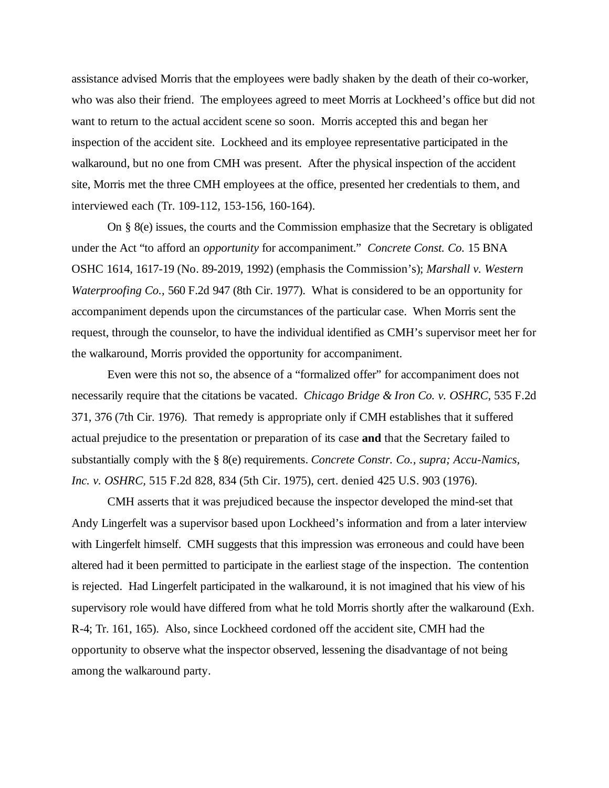assistance advised Morris that the employees were badly shaken by the death of their co-worker, who was also their friend. The employees agreed to meet Morris at Lockheed's office but did not want to return to the actual accident scene so soon. Morris accepted this and began her inspection of the accident site. Lockheed and its employee representative participated in the walkaround, but no one from CMH was present. After the physical inspection of the accident site, Morris met the three CMH employees at the office, presented her credentials to them, and interviewed each (Tr. 109-112, 153-156, 160-164).

On § 8(e) issues, the courts and the Commission emphasize that the Secretary is obligated under the Act "to afford an *opportunity* for accompaniment." *Concrete Const. Co.* 15 BNA OSHC 1614, 1617-19 (No. 89-2019, 1992) (emphasis the Commission's); *Marshall v. Western Waterproofing Co.,* 560 F.2d 947 (8th Cir. 1977). What is considered to be an opportunity for accompaniment depends upon the circumstances of the particular case. When Morris sent the request, through the counselor, to have the individual identified as CMH's supervisor meet her for the walkaround, Morris provided the opportunity for accompaniment.

Even were this not so, the absence of a "formalized offer" for accompaniment does not necessarily require that the citations be vacated. *Chicago Bridge & Iron Co. v. OSHRC*, 535 F.2d 371, 376 (7th Cir. 1976). That remedy is appropriate only if CMH establishes that it suffered actual prejudice to the presentation or preparation of its case **and** that the Secretary failed to substantially comply with the § 8(e) requirements. *Concrete Constr. Co., supra; Accu-Namics, Inc. v. OSHRC,* 515 F.2d 828, 834 (5th Cir. 1975), cert. denied 425 U.S. 903 (1976).

CMH asserts that it was prejudiced because the inspector developed the mind-set that Andy Lingerfelt was a supervisor based upon Lockheed's information and from a later interview with Lingerfelt himself. CMH suggests that this impression was erroneous and could have been altered had it been permitted to participate in the earliest stage of the inspection. The contention is rejected. Had Lingerfelt participated in the walkaround, it is not imagined that his view of his supervisory role would have differed from what he told Morris shortly after the walkaround (Exh. R-4; Tr. 161, 165). Also, since Lockheed cordoned off the accident site, CMH had the opportunity to observe what the inspector observed, lessening the disadvantage of not being among the walkaround party.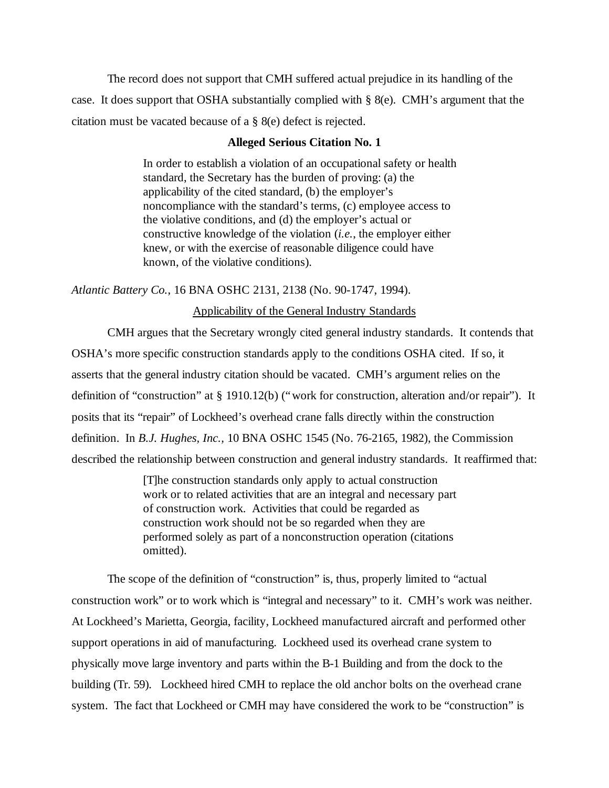The record does not support that CMH suffered actual prejudice in its handling of the case. It does support that OSHA substantially complied with § 8(e). CMH's argument that the citation must be vacated because of a § 8(e) defect is rejected.

# **Alleged Serious Citation No. 1**

In order to establish a violation of an occupational safety or health standard, the Secretary has the burden of proving: (a) the applicability of the cited standard, (b) the employer's noncompliance with the standard's terms, (c) employee access to the violative conditions, and (d) the employer's actual or constructive knowledge of the violation (*i.e.*, the employer either knew, or with the exercise of reasonable diligence could have known, of the violative conditions).

*Atlantic Battery Co.,* 16 BNA OSHC 2131, 2138 (No. 90-1747, 1994).

# Applicability of the General Industry Standards

CMH argues that the Secretary wrongly cited general industry standards. It contends that OSHA's more specific construction standards apply to the conditions OSHA cited. If so, it asserts that the general industry citation should be vacated. CMH's argument relies on the definition of "construction" at § 1910.12(b) ("work for construction, alteration and/or repair"). It posits that its "repair" of Lockheed's overhead crane falls directly within the construction definition. In *B.J. Hughes, Inc.,* 10 BNA OSHC 1545 (No. 76-2165, 1982), the Commission described the relationship between construction and general industry standards. It reaffirmed that:

> [T]he construction standards only apply to actual construction work or to related activities that are an integral and necessary part of construction work. Activities that could be regarded as construction work should not be so regarded when they are performed solely as part of a nonconstruction operation (citations omitted).

The scope of the definition of "construction" is, thus, properly limited to "actual construction work" or to work which is "integral and necessary" to it. CMH's work was neither. At Lockheed's Marietta, Georgia, facility, Lockheed manufactured aircraft and performed other support operations in aid of manufacturing. Lockheed used its overhead crane system to physically move large inventory and parts within the B-1 Building and from the dock to the building (Tr. 59). Lockheed hired CMH to replace the old anchor bolts on the overhead crane system. The fact that Lockheed or CMH may have considered the work to be "construction" is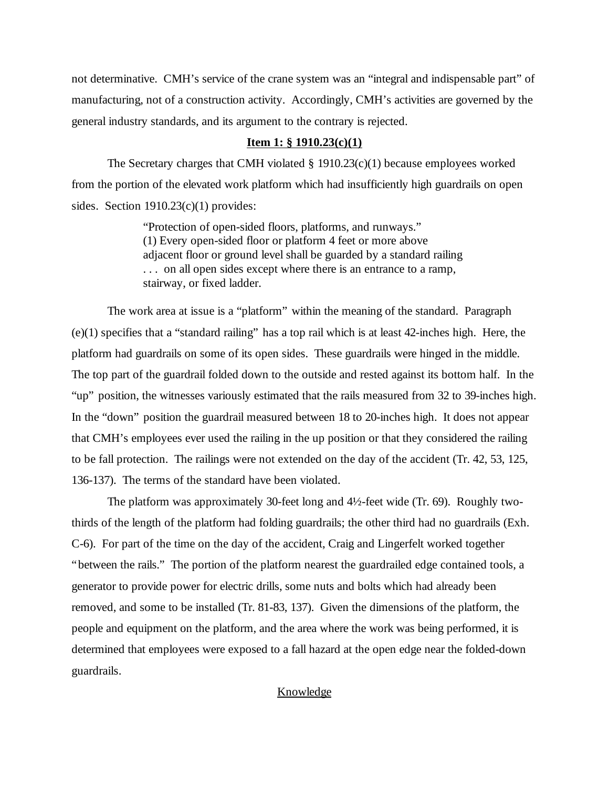not determinative. CMH's service of the crane system was an "integral and indispensable part" of manufacturing, not of a construction activity. Accordingly, CMH's activities are governed by the general industry standards, and its argument to the contrary is rejected.

### **Item 1: § 1910.23(c)(1)**

The Secretary charges that CMH violated § 1910.23(c)(1) because employees worked from the portion of the elevated work platform which had insufficiently high guardrails on open sides. Section 1910.23(c)(1) provides:

> "Protection of open-sided floors, platforms, and runways." (1) Every open-sided floor or platform 4 feet or more above adjacent floor or ground level shall be guarded by a standard railing . . . on all open sides except where there is an entrance to a ramp, stairway, or fixed ladder.

The work area at issue is a "platform" within the meaning of the standard. Paragraph (e)(1) specifies that a "standard railing" has a top rail which is at least 42-inches high. Here, the platform had guardrails on some of its open sides. These guardrails were hinged in the middle. The top part of the guardrail folded down to the outside and rested against its bottom half. In the "up" position, the witnesses variously estimated that the rails measured from 32 to 39-inches high. In the "down" position the guardrail measured between 18 to 20-inches high. It does not appear that CMH's employees ever used the railing in the up position or that they considered the railing to be fall protection. The railings were not extended on the day of the accident (Tr. 42, 53, 125, 136-137). The terms of the standard have been violated.

The platform was approximately 30-feet long and 4½-feet wide (Tr. 69). Roughly twothirds of the length of the platform had folding guardrails; the other third had no guardrails (Exh. C-6). For part of the time on the day of the accident, Craig and Lingerfelt worked together "between the rails." The portion of the platform nearest the guardrailed edge contained tools, a generator to provide power for electric drills, some nuts and bolts which had already been removed, and some to be installed (Tr. 81-83, 137). Given the dimensions of the platform, the people and equipment on the platform, and the area where the work was being performed, it is determined that employees were exposed to a fall hazard at the open edge near the folded-down guardrails.

## Knowledge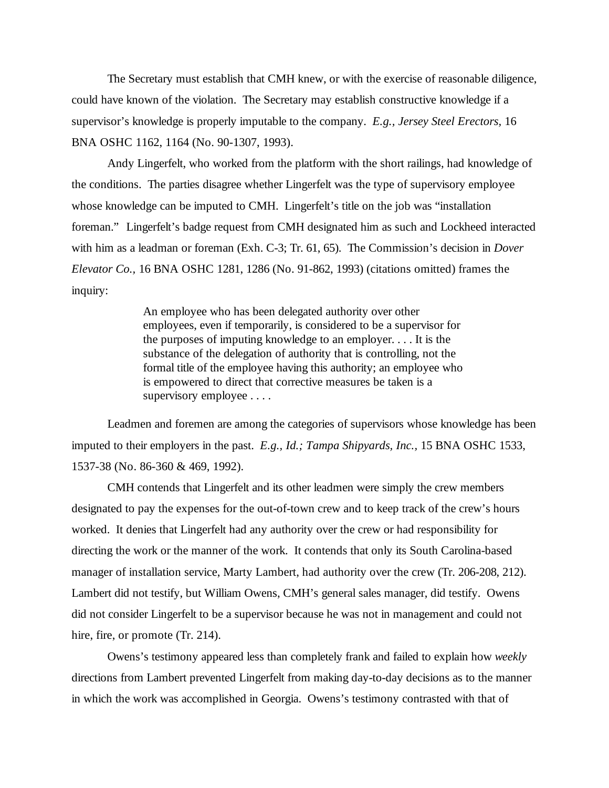The Secretary must establish that CMH knew, or with the exercise of reasonable diligence, could have known of the violation. The Secretary may establish constructive knowledge if a supervisor's knowledge is properly imputable to the company. *E.g., Jersey Steel Erectors,* 16 BNA OSHC 1162, 1164 (No. 90-1307, 1993).

Andy Lingerfelt, who worked from the platform with the short railings, had knowledge of the conditions. The parties disagree whether Lingerfelt was the type of supervisory employee whose knowledge can be imputed to CMH. Lingerfelt's title on the job was "installation" foreman." Lingerfelt's badge request from CMH designated him as such and Lockheed interacted with him as a leadman or foreman (Exh. C-3; Tr. 61, 65). The Commission's decision in *Dover Elevator Co.,* 16 BNA OSHC 1281, 1286 (No. 91-862, 1993) (citations omitted) frames the inquiry:

> An employee who has been delegated authority over other employees, even if temporarily, is considered to be a supervisor for the purposes of imputing knowledge to an employer. . . . It is the substance of the delegation of authority that is controlling, not the formal title of the employee having this authority; an employee who is empowered to direct that corrective measures be taken is a supervisory employee . . . .

Leadmen and foremen are among the categories of supervisors whose knowledge has been imputed to their employers in the past. *E.g., Id.; Tampa Shipyards, Inc.,* 15 BNA OSHC 1533, 1537-38 (No. 86-360 & 469, 1992).

CMH contends that Lingerfelt and its other leadmen were simply the crew members designated to pay the expenses for the out-of-town crew and to keep track of the crew's hours worked. It denies that Lingerfelt had any authority over the crew or had responsibility for directing the work or the manner of the work. It contends that only its South Carolina-based manager of installation service, Marty Lambert, had authority over the crew (Tr. 206-208, 212). Lambert did not testify, but William Owens, CMH's general sales manager, did testify. Owens did not consider Lingerfelt to be a supervisor because he was not in management and could not hire, fire, or promote (Tr. 214).

Owens's testimony appeared less than completely frank and failed to explain how *weekly* directions from Lambert prevented Lingerfelt from making day-to-day decisions as to the manner in which the work was accomplished in Georgia. Owens's testimony contrasted with that of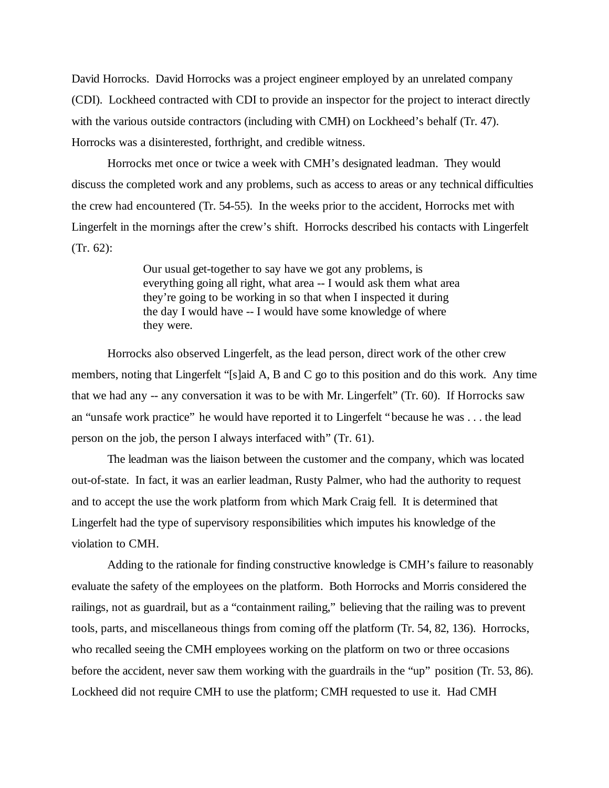David Horrocks. David Horrocks was a project engineer employed by an unrelated company (CDI). Lockheed contracted with CDI to provide an inspector for the project to interact directly with the various outside contractors (including with CMH) on Lockheed's behalf (Tr. 47). Horrocks was a disinterested, forthright, and credible witness.

Horrocks met once or twice a week with CMH's designated leadman. They would discuss the completed work and any problems, such as access to areas or any technical difficulties the crew had encountered (Tr. 54-55). In the weeks prior to the accident, Horrocks met with Lingerfelt in the mornings after the crew's shift. Horrocks described his contacts with Lingerfelt (Tr. 62):

> Our usual get-together to say have we got any problems, is everything going all right, what area -- I would ask them what area they're going to be working in so that when I inspected it during the day I would have -- I would have some knowledge of where they were.

Horrocks also observed Lingerfelt, as the lead person, direct work of the other crew members, noting that Lingerfelt "[s]aid A, B and C go to this position and do this work. Any time that we had any -- any conversation it was to be with Mr. Lingerfelt" (Tr. 60). If Horrocks saw an "unsafe work practice" he would have reported it to Lingerfelt "because he was . . . the lead person on the job, the person I always interfaced with" (Tr. 61).

The leadman was the liaison between the customer and the company, which was located out-of-state. In fact, it was an earlier leadman, Rusty Palmer, who had the authority to request and to accept the use the work platform from which Mark Craig fell. It is determined that Lingerfelt had the type of supervisory responsibilities which imputes his knowledge of the violation to CMH.

Adding to the rationale for finding constructive knowledge is CMH's failure to reasonably evaluate the safety of the employees on the platform. Both Horrocks and Morris considered the railings, not as guardrail, but as a "containment railing," believing that the railing was to prevent tools, parts, and miscellaneous things from coming off the platform (Tr. 54, 82, 136). Horrocks, who recalled seeing the CMH employees working on the platform on two or three occasions before the accident, never saw them working with the guardrails in the "up" position (Tr. 53, 86). Lockheed did not require CMH to use the platform; CMH requested to use it. Had CMH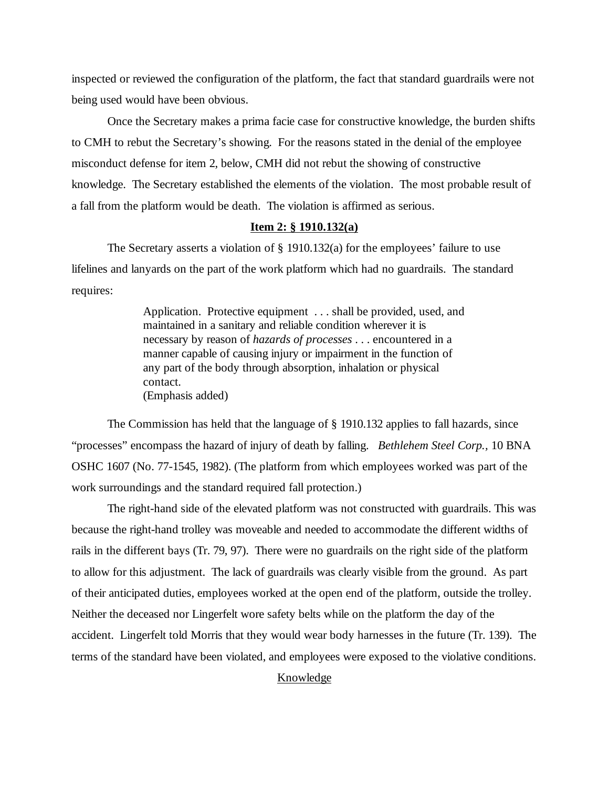inspected or reviewed the configuration of the platform, the fact that standard guardrails were not being used would have been obvious.

Once the Secretary makes a prima facie case for constructive knowledge, the burden shifts to CMH to rebut the Secretary's showing. For the reasons stated in the denial of the employee misconduct defense for item 2, below, CMH did not rebut the showing of constructive knowledge. The Secretary established the elements of the violation. The most probable result of a fall from the platform would be death. The violation is affirmed as serious.

## **Item 2: § 1910.132(a)**

The Secretary asserts a violation of  $\S$  1910.132(a) for the employees' failure to use lifelines and lanyards on the part of the work platform which had no guardrails. The standard requires:

> Application. Protective equipment . . . shall be provided, used, and maintained in a sanitary and reliable condition wherever it is necessary by reason of *hazards of processes* . . . encountered in a manner capable of causing injury or impairment in the function of any part of the body through absorption, inhalation or physical contact. (Emphasis added)

The Commission has held that the language of § 1910.132 applies to fall hazards, since "processes" encompass the hazard of injury of death by falling. *Bethlehem Steel Corp.,* 10 BNA OSHC 1607 (No. 77-1545, 1982). (The platform from which employees worked was part of the work surroundings and the standard required fall protection.)

The right-hand side of the elevated platform was not constructed with guardrails. This was because the right-hand trolley was moveable and needed to accommodate the different widths of rails in the different bays (Tr. 79, 97). There were no guardrails on the right side of the platform to allow for this adjustment. The lack of guardrails was clearly visible from the ground. As part of their anticipated duties, employees worked at the open end of the platform, outside the trolley. Neither the deceased nor Lingerfelt wore safety belts while on the platform the day of the accident. Lingerfelt told Morris that they would wear body harnesses in the future (Tr. 139). The terms of the standard have been violated, and employees were exposed to the violative conditions.

## Knowledge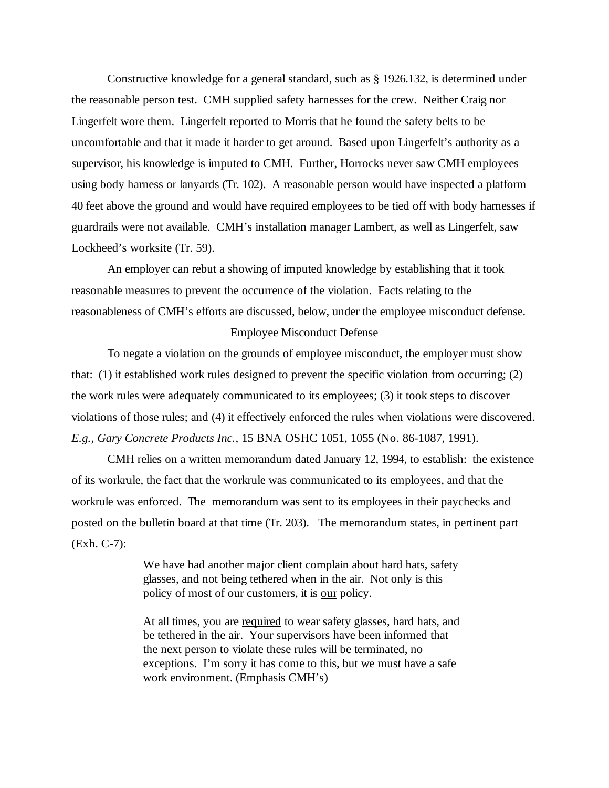Constructive knowledge for a general standard, such as § 1926.132, is determined under the reasonable person test. CMH supplied safety harnesses for the crew. Neither Craig nor Lingerfelt wore them. Lingerfelt reported to Morris that he found the safety belts to be uncomfortable and that it made it harder to get around. Based upon Lingerfelt's authority as a supervisor, his knowledge is imputed to CMH. Further, Horrocks never saw CMH employees using body harness or lanyards (Tr. 102). A reasonable person would have inspected a platform 40 feet above the ground and would have required employees to be tied off with body harnesses if guardrails were not available. CMH's installation manager Lambert, as well as Lingerfelt, saw Lockheed's worksite (Tr. 59).

An employer can rebut a showing of imputed knowledge by establishing that it took reasonable measures to prevent the occurrence of the violation. Facts relating to the reasonableness of CMH's efforts are discussed, below, under the employee misconduct defense.

#### Employee Misconduct Defense

To negate a violation on the grounds of employee misconduct, the employer must show that: (1) it established work rules designed to prevent the specific violation from occurring; (2) the work rules were adequately communicated to its employees; (3) it took steps to discover violations of those rules; and (4) it effectively enforced the rules when violations were discovered. *E.g., Gary Concrete Products Inc.,* 15 BNA OSHC 1051, 1055 (No. 86-1087, 1991).

CMH relies on a written memorandum dated January 12, 1994, to establish: the existence of its workrule, the fact that the workrule was communicated to its employees, and that the workrule was enforced. The memorandum was sent to its employees in their paychecks and posted on the bulletin board at that time (Tr. 203). The memorandum states, in pertinent part (Exh. C-7):

> We have had another major client complain about hard hats, safety glasses, and not being tethered when in the air. Not only is this policy of most of our customers, it is our policy.

> At all times, you are required to wear safety glasses, hard hats, and be tethered in the air. Your supervisors have been informed that the next person to violate these rules will be terminated, no exceptions. I'm sorry it has come to this, but we must have a safe work environment. (Emphasis CMH's)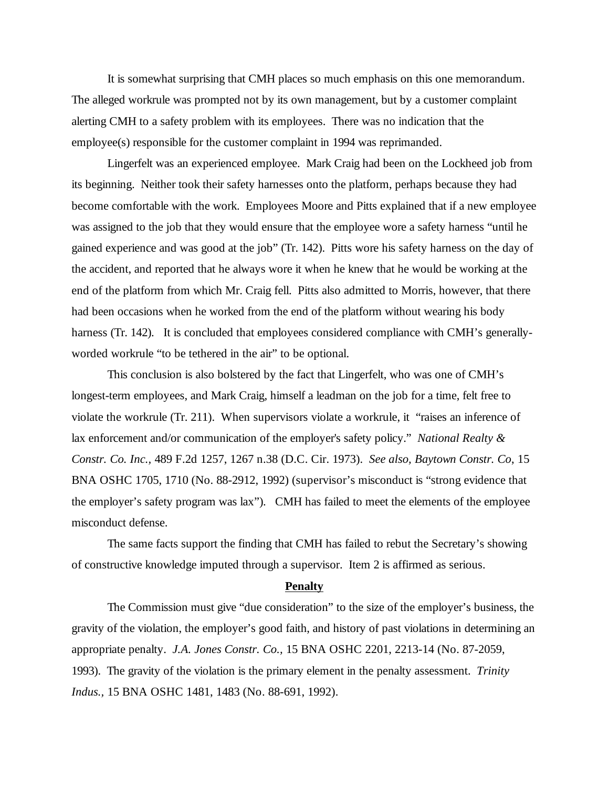It is somewhat surprising that CMH places so much emphasis on this one memorandum. The alleged workrule was prompted not by its own management, but by a customer complaint alerting CMH to a safety problem with its employees. There was no indication that the employee(s) responsible for the customer complaint in 1994 was reprimanded.

Lingerfelt was an experienced employee. Mark Craig had been on the Lockheed job from its beginning. Neither took their safety harnesses onto the platform, perhaps because they had become comfortable with the work. Employees Moore and Pitts explained that if a new employee was assigned to the job that they would ensure that the employee wore a safety harness "until he gained experience and was good at the job" (Tr. 142). Pitts wore his safety harness on the day of the accident, and reported that he always wore it when he knew that he would be working at the end of the platform from which Mr. Craig fell. Pitts also admitted to Morris, however, that there had been occasions when he worked from the end of the platform without wearing his body harness (Tr. 142). It is concluded that employees considered compliance with CMH's generallyworded workrule "to be tethered in the air" to be optional.

This conclusion is also bolstered by the fact that Lingerfelt, who was one of CMH's longest-term employees, and Mark Craig, himself a leadman on the job for a time, felt free to violate the workrule (Tr. 211). When supervisors violate a workrule, it "raises an inference of lax enforcement and/or communication of the employer's safety policy." *National Realty & Constr. Co. Inc.,* 489 F.2d 1257, 1267 n.38 (D.C. Cir. 1973). *See also, Baytown Constr. Co*, 15 BNA OSHC 1705, 1710 (No. 88-2912, 1992) (supervisor's misconduct is "strong evidence that the employer's safety program was lax"). CMH has failed to meet the elements of the employee misconduct defense.

The same facts support the finding that CMH has failed to rebut the Secretary's showing of constructive knowledge imputed through a supervisor. Item 2 is affirmed as serious.

## **Penalty**

The Commission must give "due consideration" to the size of the employer's business, the gravity of the violation, the employer's good faith, and history of past violations in determining an appropriate penalty. *J.A. Jones Constr. Co.,* 15 BNA OSHC 2201, 2213-14 (No. 87-2059, 1993). The gravity of the violation is the primary element in the penalty assessment. *Trinity Indus.,* 15 BNA OSHC 1481, 1483 (No. 88-691, 1992).